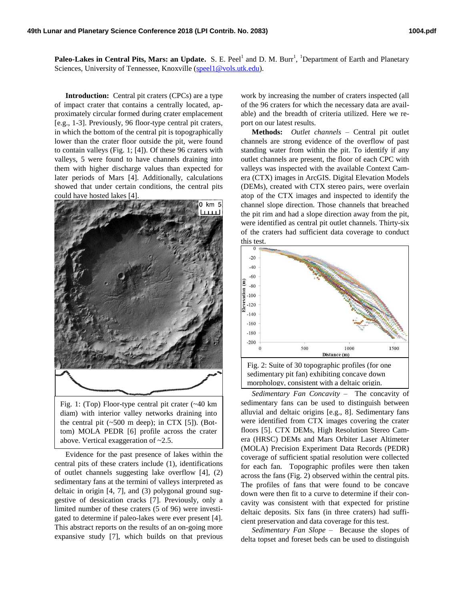Paleo-Lakes in Central Pits, Mars: an Update. S. E. Peel<sup>1</sup> and D. M. Burr<sup>1</sup>, <sup>1</sup>Department of Earth and Planetary Sciences, University of Tennessee, Knoxville [\(speel1@vols.utk.edu\)](mailto:speel1@vols.utk.edu).

**Introduction:** Central pit craters (CPCs) are a type of impact crater that contains a centrally located, approximately circular formed during crater emplacement [e.g., 1-3]. Previously, 96 floor-type central pit craters, in which the bottom of the central pit is topographically lower than the crater floor outside the pit, were found to contain valleys (Fig. 1; [4]). Of these 96 craters with valleys, 5 were found to have channels draining into them with higher discharge values than expected for later periods of Mars [4]. Additionally, calculations showed that under certain conditions, the central pits could have hosted lakes [4].



Fig. 1: (Top) Floor-type central pit crater (~40 km diam) with interior valley networks draining into the central pit  $(\sim 500 \text{ m deep})$ ; in CTX [5]). (Bottom) MOLA PEDR [6] profile across the crater above. Vertical exaggeration of ~2.5.

Evidence for the past presence of lakes within the central pits of these craters include (1), identifications of outlet channels suggesting lake overflow [4], (2) sedimentary fans at the termini of valleys interpreted as deltaic in origin [4, 7], and (3) polygonal ground suggestive of dessication cracks [7]. Previously, only a limited number of these craters (5 of 96) were investigated to determine if paleo-lakes were ever present [4]. This abstract reports on the results of an on-going more expansive study [7], which builds on that previous

work by increasing the number of craters inspected (all of the 96 craters for which the necessary data are available) and the breadth of criteria utilized. Here we report on our latest results.

**Methods:** *Outlet channels –* Central pit outlet channels are strong evidence of the overflow of past standing water from within the pit. To identify if any outlet channels are present, the floor of each CPC with valleys was inspected with the available Context Camera (CTX) images in ArcGIS. Digital Elevation Models (DEMs), created with CTX stereo pairs, were overlain atop of the CTX images and inspected to identify the channel slope direction. Those channels that breached the pit rim and had a slope direction away from the pit, were identified as central pit outlet channels. Thirty-six of the craters had sufficient data coverage to conduct this test.



*Sedimentary Fan Concavity –* The concavity of sedimentary fans can be used to distinguish between alluvial and deltaic origins [e.g., 8]. Sedimentary fans were identified from CTX images covering the crater floors [5]. CTX DEMs, High Resolution Stereo Camera (HRSC) DEMs and Mars Orbiter Laser Altimeter (MOLA) Precision Experiment Data Records (PEDR) coverage of sufficient spatial resolution were collected for each fan. Topographic profiles were then taken across the fans (Fig. 2) observed within the central pits. The profiles of fans that were found to be concave down were then fit to a curve to determine if their concavity was consistent with that expected for pristine deltaic deposits. Six fans (in three craters) had sufficient preservation and data coverage for this test.

*Sedimentary Fan Slope –* Because the slopes of delta topset and foreset beds can be used to distinguish